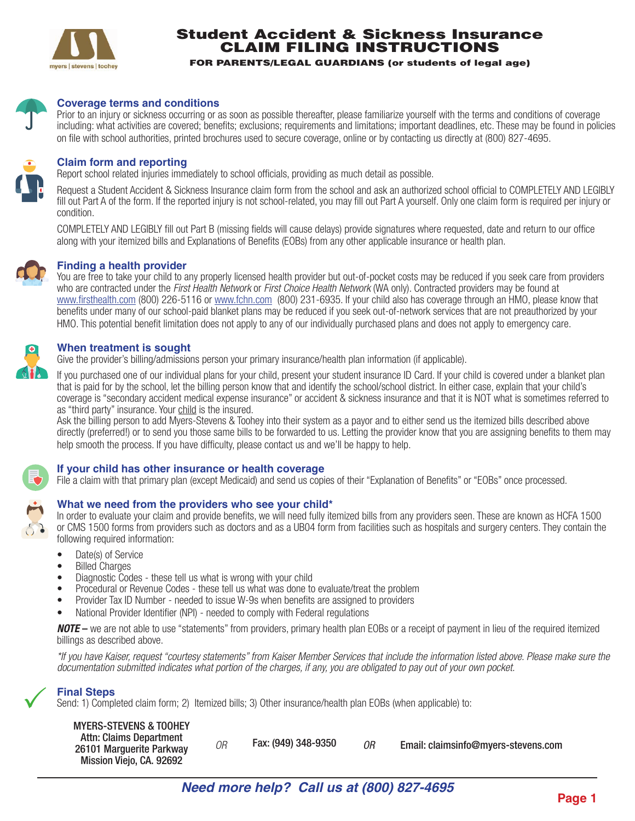

# Student Accident & Sickness Insurance CLAIM FILING INSTRUCTIONS

FOR PARENTS/LEGAL GUARDIANS (or students of legal age)



#### **Coverage terms and conditions**

Prior to an injury or sickness occurring or as soon as possible thereafter, please familiarize yourself with the terms and conditions of coverage including: what activities are covered; benefits; exclusions; requirements and limitations; important deadlines, etc. These may be found in policies on file with school authorities, printed brochures used to secure coverage, online or by contacting us directly at (800) 827-4695.



#### **Claim form and reporting**

Report school related injuries immediately to school officials, providing as much detail as possible.

Request a Student Accident & Sickness Insurance claim form from the school and ask an authorized school official to COMPLETELY AND LEGIBLY fill out Part A of the form. If the reported injury is not school-related, you may fill out Part A yourself. Only one claim form is required per injury or condition.

COMPLETELY AND LEGIBLY fill out Part B (missing fields will cause delays) provide signatures where requested, date and return to our office along with your itemized bills and Explanations of Benefits (EOBs) from any other applicable insurance or health plan.



You are free to take your child to any properly licensed health provider but out-of-pocket costs may be reduced if you seek care from providers who are contracted under the *First Health Network* or *First Choice Health Network* (WA only). Contracted providers may be found at www.firsthealth.com (800) 226-5116 or www.fchn.com (800) 231-6935. If your child also has coverage through an HMO, please know that benefits under many of our school-paid blanket plans may be reduced if you seek out-of-network services that are not preauthorized by your HMO. This potential benefit limitation does not apply to any of our individually purchased plans and does not apply to emergency care.

## **When treatment is sought**

Give the provider's billing/admissions person your primary insurance/health plan information (if applicable).

If you purchased one of our individual plans for your child, present your student insurance ID Card. If your child is covered under a blanket plan that is paid for by the school, let the billing person know that and identify the school/school district. In either case, explain that your child's coverage is "secondary accident medical expense insurance" or accident & sickness insurance and that it is NOT what is sometimes referred to as "third party" insurance. Your child is the insured.

Ask the billing person to add Myers-Stevens & Toohey into their system as a payor and to either send us the itemized bills described above directly (preferred!) or to send you those same bills to be forwarded to us. Letting the provider know that you are assigning benefits to them may help smooth the process. If you have difficulty, please contact us and we'll be happy to help.



## **If your child has other insurance or health coverage**

File a claim with that primary plan (except Medicaid) and send us copies of their "Explanation of Benefits" or "EOBs" once processed.

## **What we need from the providers who see your child\***

In order to evaluate your claim and provide benefits, we will need fully itemized bills from any providers seen. These are known as HCFA 1500 or CMS 1500 forms from providers such as doctors and as a UB04 form from facilities such as hospitals and surgery centers. They contain the following required information:

- Date(s) of Service
- Billed Charges
- Diagnostic Codes these tell us what is wrong with your child
- Procedural or Revenue Codes these tell us what was done to evaluate/treat the problem
- Provider Tax ID Number needed to issue W-9s when benefits are assigned to providers
- National Provider Identifier (NPI) needed to comply with Federal regulations

*NOTE* – we are not able to use "statements" from providers, primary health plan EOBs or a receipt of payment in lieu of the required itemized billings as described above.

*\*If you have Kaiser, request "courtesy statements" from Kaiser Member Services that include the information listed above. Please make sure the documentation submitted indicates what portion of the charges, if any, you are obligated to pay out of your own pocket.* 

## **Final Steps**

 $\checkmark$ 

Send: 1) Completed claim form; 2) Itemized bills; 3) Other insurance/health plan EOBs (when applicable) to:

| <b>MYERS-STEVENS &amp; TOOHEY</b> |
|-----------------------------------|
| Attn: Claims Department           |
| 26101 Marguerite Parkway          |

| <b>Attn: Claims Department</b> |                     |                                     |
|--------------------------------|---------------------|-------------------------------------|
| 6101 Marguerite Parkway        | Fax: (949) 348-9350 | Email: claimsinfo@myers-stevens.com |
| Mission Viejo, CA, 92692       |                     |                                     |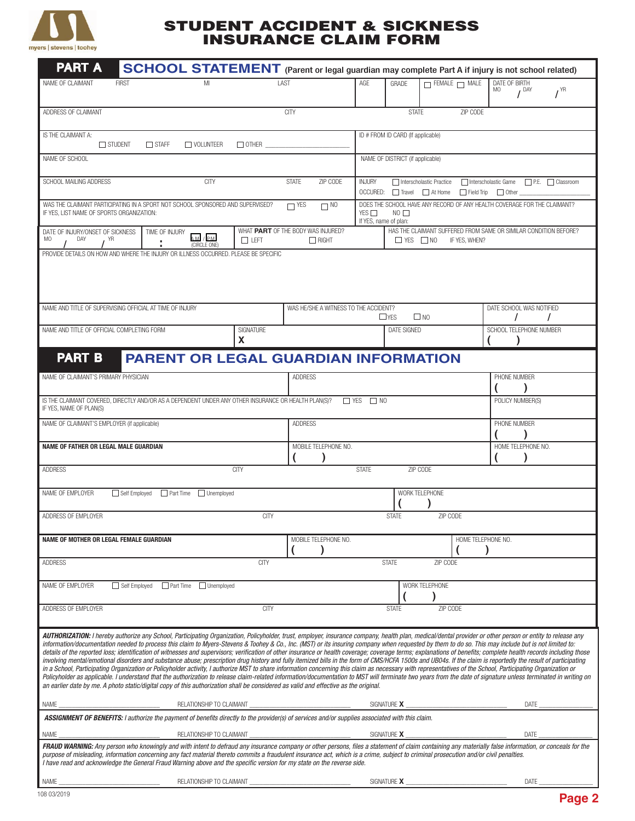

## STUDENT ACCIDENT & SICKNESS INSURANCE CLAIM FORM

| <b>PART A</b>                                                                                                                                                                                                                                                                                                                                                                                                                                                                                                                                                                                                                                                                                                                                                                                                                                                                                                                                                                                                                                                                                                                                                                                                                                                                                                                                                                                                                                |                                                                    |                                             |                                                   |                |                                                                                                                                              |                                                                                                                                |                                   | SCHOOL STATEMENT (Parent or legal guardian may complete Part A if injury is not school related) |                                  |                 |
|----------------------------------------------------------------------------------------------------------------------------------------------------------------------------------------------------------------------------------------------------------------------------------------------------------------------------------------------------------------------------------------------------------------------------------------------------------------------------------------------------------------------------------------------------------------------------------------------------------------------------------------------------------------------------------------------------------------------------------------------------------------------------------------------------------------------------------------------------------------------------------------------------------------------------------------------------------------------------------------------------------------------------------------------------------------------------------------------------------------------------------------------------------------------------------------------------------------------------------------------------------------------------------------------------------------------------------------------------------------------------------------------------------------------------------------------|--------------------------------------------------------------------|---------------------------------------------|---------------------------------------------------|----------------|----------------------------------------------------------------------------------------------------------------------------------------------|--------------------------------------------------------------------------------------------------------------------------------|-----------------------------------|-------------------------------------------------------------------------------------------------|----------------------------------|-----------------|
| NAME OF CLAIMANT                                                                                                                                                                                                                                                                                                                                                                                                                                                                                                                                                                                                                                                                                                                                                                                                                                                                                                                                                                                                                                                                                                                                                                                                                                                                                                                                                                                                                             | <b>FIRST</b>                                                       | MI                                          |                                                   | LAST           |                                                                                                                                              | AGE                                                                                                                            | GRADE                             | $\Box$ FEMALE $\Box$ MALE                                                                       | DATE OF BIRTH<br>MO<br>$I^{DAY}$ | $I^{\text{YR}}$ |
| ADDRESS OF CLAIMANT                                                                                                                                                                                                                                                                                                                                                                                                                                                                                                                                                                                                                                                                                                                                                                                                                                                                                                                                                                                                                                                                                                                                                                                                                                                                                                                                                                                                                          |                                                                    |                                             |                                                   | <b>CITY</b>    |                                                                                                                                              |                                                                                                                                | <b>STATE</b>                      | ZIP CODE                                                                                        |                                  |                 |
| IS THE CLAIMANT A:                                                                                                                                                                                                                                                                                                                                                                                                                                                                                                                                                                                                                                                                                                                                                                                                                                                                                                                                                                                                                                                                                                                                                                                                                                                                                                                                                                                                                           | $\Box$ STUDENT<br>$\Box$ STAFF<br>$\Box$ OTHER<br>$\Box$ VOLUNTEER |                                             |                                                   |                |                                                                                                                                              |                                                                                                                                | ID # FROM ID CARD (If applicable) |                                                                                                 |                                  |                 |
| NAME OF SCHOOL                                                                                                                                                                                                                                                                                                                                                                                                                                                                                                                                                                                                                                                                                                                                                                                                                                                                                                                                                                                                                                                                                                                                                                                                                                                                                                                                                                                                                               |                                                                    |                                             |                                                   |                |                                                                                                                                              |                                                                                                                                | NAME OF DISTRICT (if applicable)  |                                                                                                 |                                  |                 |
| SCHOOL MAILING ADDRESS                                                                                                                                                                                                                                                                                                                                                                                                                                                                                                                                                                                                                                                                                                                                                                                                                                                                                                                                                                                                                                                                                                                                                                                                                                                                                                                                                                                                                       |                                                                    | <b>CITY</b>                                 |                                                   | ZIP CODE       | <b>INJURY</b><br>□ Interscholastic Practice<br>□ Interscholastic Game □ P.E. □ Classroom<br>OCCURED: □ Travel □ At Home □ Field Trip □ Other |                                                                                                                                |                                   |                                                                                                 |                                  |                 |
| WAS THE CLAIMANT PARTICIPATING IN A SPORT NOT SCHOOL SPONSORED AND SUPERVISED?<br>$\overline{\phantom{1}}$ YES<br>$\Box$ NO<br>IF YES, LIST NAME OF SPORTS ORGANIZATION:                                                                                                                                                                                                                                                                                                                                                                                                                                                                                                                                                                                                                                                                                                                                                                                                                                                                                                                                                                                                                                                                                                                                                                                                                                                                     |                                                                    |                                             |                                                   |                |                                                                                                                                              | DOES THE SCHOOL HAVE ANY RECORD OF ANY HEALTH COVERAGE FOR THE CLAIMANT?<br>YES $\Box$<br>$NO$ $\Box$<br>If YES, name of plan: |                                   |                                                                                                 |                                  |                 |
| DATE OF INJURY/ONSET OF SICKNESS<br>DAY<br>MO<br>YR                                                                                                                                                                                                                                                                                                                                                                                                                                                                                                                                                                                                                                                                                                                                                                                                                                                                                                                                                                                                                                                                                                                                                                                                                                                                                                                                                                                          | TIME OF INJURY                                                     | $AM$ / $PM$<br>(CIRCLE ONE)                 | WHAT PART OF THE BODY WAS INJURED?<br>$\Box$ LEFT |                | $\Box$ RIGHT                                                                                                                                 |                                                                                                                                | $\Box$ YES $\Box$ NO              | HAS THE CLAIMANT SUFFERED FROM SAME OR SIMILAR CONDITION BEFORE?<br>IF YES, WHEN?               |                                  |                 |
| PROVIDE DETAILS ON HOW AND WHERE THE INJURY OR ILLNESS OCCURRED. PLEASE BE SPECIFIC                                                                                                                                                                                                                                                                                                                                                                                                                                                                                                                                                                                                                                                                                                                                                                                                                                                                                                                                                                                                                                                                                                                                                                                                                                                                                                                                                          |                                                                    |                                             |                                                   |                |                                                                                                                                              |                                                                                                                                |                                   |                                                                                                 |                                  |                 |
| NAME AND TITLE OF SUPERVISING OFFICIAL AT TIME OF INJURY                                                                                                                                                                                                                                                                                                                                                                                                                                                                                                                                                                                                                                                                                                                                                                                                                                                                                                                                                                                                                                                                                                                                                                                                                                                                                                                                                                                     |                                                                    |                                             |                                                   |                | WAS HE/SHE A WITNESS TO THE ACCIDENT?                                                                                                        |                                                                                                                                | $\Box$ YES                        | $\square$ NO                                                                                    | DATE SCHOOL WAS NOTIFIED         | $\prime$        |
| NAME AND TITLE OF OFFICIAL COMPLETING FORM                                                                                                                                                                                                                                                                                                                                                                                                                                                                                                                                                                                                                                                                                                                                                                                                                                                                                                                                                                                                                                                                                                                                                                                                                                                                                                                                                                                                   |                                                                    |                                             | SIGNATURE<br>X                                    |                |                                                                                                                                              |                                                                                                                                | <b>DATE SIGNED</b>                |                                                                                                 | SCHOOL TELEPHONE NUMBER          |                 |
| <b>PART B</b>                                                                                                                                                                                                                                                                                                                                                                                                                                                                                                                                                                                                                                                                                                                                                                                                                                                                                                                                                                                                                                                                                                                                                                                                                                                                                                                                                                                                                                |                                                                    | <b>PARENT OR LEGAL GUARDIAN INFORMATION</b> |                                                   |                |                                                                                                                                              |                                                                                                                                |                                   |                                                                                                 |                                  |                 |
| NAME OF CLAIMANT'S PRIMARY PHYSICIAN                                                                                                                                                                                                                                                                                                                                                                                                                                                                                                                                                                                                                                                                                                                                                                                                                                                                                                                                                                                                                                                                                                                                                                                                                                                                                                                                                                                                         |                                                                    |                                             |                                                   | <b>ADDRESS</b> |                                                                                                                                              |                                                                                                                                |                                   |                                                                                                 | PHONE NUMBER                     |                 |
| IS THE CLAIMANT COVERED, DIRECTLY AND/OR AS A DEPENDENT UNDER ANY OTHER INSURANCE OR HEALTH PLAN(S)?<br>IF YES, NAME OF PLAN(S)                                                                                                                                                                                                                                                                                                                                                                                                                                                                                                                                                                                                                                                                                                                                                                                                                                                                                                                                                                                                                                                                                                                                                                                                                                                                                                              |                                                                    |                                             |                                                   |                | $\Box$ YES                                                                                                                                   | $\Box$ NO                                                                                                                      |                                   |                                                                                                 | POLICY NUMBER(S)                 |                 |
| NAME OF CLAIMANT'S EMPLOYER (if applicable)                                                                                                                                                                                                                                                                                                                                                                                                                                                                                                                                                                                                                                                                                                                                                                                                                                                                                                                                                                                                                                                                                                                                                                                                                                                                                                                                                                                                  |                                                                    |                                             |                                                   | <b>ADDRESS</b> |                                                                                                                                              |                                                                                                                                |                                   |                                                                                                 | PHONE NUMBER                     |                 |
| NAME OF FATHER OR LEGAL MALE GUARDIAN                                                                                                                                                                                                                                                                                                                                                                                                                                                                                                                                                                                                                                                                                                                                                                                                                                                                                                                                                                                                                                                                                                                                                                                                                                                                                                                                                                                                        |                                                                    |                                             |                                                   |                | MOBILE TELEPHONE NO.                                                                                                                         |                                                                                                                                |                                   |                                                                                                 | HOME TELEPHONE NO.               |                 |
| ADDRESS                                                                                                                                                                                                                                                                                                                                                                                                                                                                                                                                                                                                                                                                                                                                                                                                                                                                                                                                                                                                                                                                                                                                                                                                                                                                                                                                                                                                                                      |                                                                    |                                             | <b>CITY</b>                                       |                |                                                                                                                                              | <b>STATE</b>                                                                                                                   | ZIP CODE                          |                                                                                                 |                                  |                 |
| WORK TELEPHONE<br>NAME OF EMPLOYER<br>Self Employed Part Time Intermployed                                                                                                                                                                                                                                                                                                                                                                                                                                                                                                                                                                                                                                                                                                                                                                                                                                                                                                                                                                                                                                                                                                                                                                                                                                                                                                                                                                   |                                                                    |                                             |                                                   |                |                                                                                                                                              |                                                                                                                                |                                   |                                                                                                 |                                  |                 |
| ADDRESS OF EMPLOYER                                                                                                                                                                                                                                                                                                                                                                                                                                                                                                                                                                                                                                                                                                                                                                                                                                                                                                                                                                                                                                                                                                                                                                                                                                                                                                                                                                                                                          |                                                                    |                                             | <b>CITY</b>                                       |                |                                                                                                                                              |                                                                                                                                | <b>STATE</b>                      | ZIP CODE                                                                                        |                                  |                 |
| NAME OF MOTHER OR LEGAL FEMALE GUARDIAN                                                                                                                                                                                                                                                                                                                                                                                                                                                                                                                                                                                                                                                                                                                                                                                                                                                                                                                                                                                                                                                                                                                                                                                                                                                                                                                                                                                                      |                                                                    |                                             |                                                   |                | MOBILE TELEPHONE NO.                                                                                                                         |                                                                                                                                |                                   |                                                                                                 | HOME TELEPHONE NO.               |                 |
| <b>ADDRESS</b>                                                                                                                                                                                                                                                                                                                                                                                                                                                                                                                                                                                                                                                                                                                                                                                                                                                                                                                                                                                                                                                                                                                                                                                                                                                                                                                                                                                                                               |                                                                    |                                             | <b>CITY</b>                                       |                |                                                                                                                                              |                                                                                                                                | <b>STATE</b>                      | ZIP CODE                                                                                        |                                  |                 |
| NAME OF EMPLOYER                                                                                                                                                                                                                                                                                                                                                                                                                                                                                                                                                                                                                                                                                                                                                                                                                                                                                                                                                                                                                                                                                                                                                                                                                                                                                                                                                                                                                             | □ Self Employed □ Part Time □ Unemployed                           |                                             |                                                   |                |                                                                                                                                              |                                                                                                                                |                                   | WORK TELEPHONE                                                                                  |                                  |                 |
| ADDRESS OF EMPLOYER                                                                                                                                                                                                                                                                                                                                                                                                                                                                                                                                                                                                                                                                                                                                                                                                                                                                                                                                                                                                                                                                                                                                                                                                                                                                                                                                                                                                                          |                                                                    |                                             | <b>CITY</b>                                       |                |                                                                                                                                              |                                                                                                                                | <b>STATE</b>                      | ZIP CODE                                                                                        |                                  |                 |
| AUTHORIZATION: I hereby authorize any School, Participating Organization, Policyholder, trust, employer, insurance company, health plan, medical/dental provider or other person or entity to release any<br>information/documentation needed to process this claim to Myers-Stevens & Toohey & Co., Inc. (MST) or its insuring company when requested by them to do so. This may include but is not limited to:<br>details of the reported loss; identification of witnesses and supervisors; verification of other insurance or health coverage; coverage terms; explanations of benefits; complete health records including those<br>involving mental/emotional disorders and substance abuse; prescription drug history and fully itemized bills in the form of CMS/HCFA 1500s and UB04s. If the claim is reportedly the result of participating<br>in a School, Participating Organization or Policyholder activity, I authorize MST to share information concerning this claim as necessary with representatives of the School, Participating Organization or<br>Policyholder as applicable. I understand that the authorization to release claim-related information/documentation to MST will terminate two years from the date of signature unless terminated in writing on<br>an earlier date by me. A photo static/digital copy of this authorization shall be considered as valid and effective as the original.<br>NAME<br>DATE |                                                                    |                                             |                                                   |                |                                                                                                                                              |                                                                                                                                |                                   |                                                                                                 |                                  |                 |
| ASSIGNMENT OF BENEFITS: I authorize the payment of benefits directly to the provider(s) of services and/or supplies associated with this claim.                                                                                                                                                                                                                                                                                                                                                                                                                                                                                                                                                                                                                                                                                                                                                                                                                                                                                                                                                                                                                                                                                                                                                                                                                                                                                              |                                                                    |                                             |                                                   |                |                                                                                                                                              |                                                                                                                                |                                   |                                                                                                 |                                  |                 |
| NAME                                                                                                                                                                                                                                                                                                                                                                                                                                                                                                                                                                                                                                                                                                                                                                                                                                                                                                                                                                                                                                                                                                                                                                                                                                                                                                                                                                                                                                         |                                                                    | RELATIONSHIP TO CLAIMANT                    |                                                   |                |                                                                                                                                              |                                                                                                                                | SIGNATURE X                       |                                                                                                 | DATE                             |                 |
| FRAUD WARNING: Any person who knowingly and with intent to defraud any insurance company or other persons, files a statement of claim containing any materially false information, or conceals for the<br>purpose of misleading, information concerning any fact material thereto commits a fraudulent insurance act, which is a crime, subject to criminal prosecution and/or civil penalties.<br>I have read and acknowledge the General Fraud Warning above and the specific version for my state on the reverse side.                                                                                                                                                                                                                                                                                                                                                                                                                                                                                                                                                                                                                                                                                                                                                                                                                                                                                                                    |                                                                    |                                             |                                                   |                |                                                                                                                                              |                                                                                                                                |                                   |                                                                                                 |                                  |                 |
| NAME                                                                                                                                                                                                                                                                                                                                                                                                                                                                                                                                                                                                                                                                                                                                                                                                                                                                                                                                                                                                                                                                                                                                                                                                                                                                                                                                                                                                                                         |                                                                    |                                             |                                                   |                |                                                                                                                                              |                                                                                                                                |                                   |                                                                                                 | DATE                             |                 |